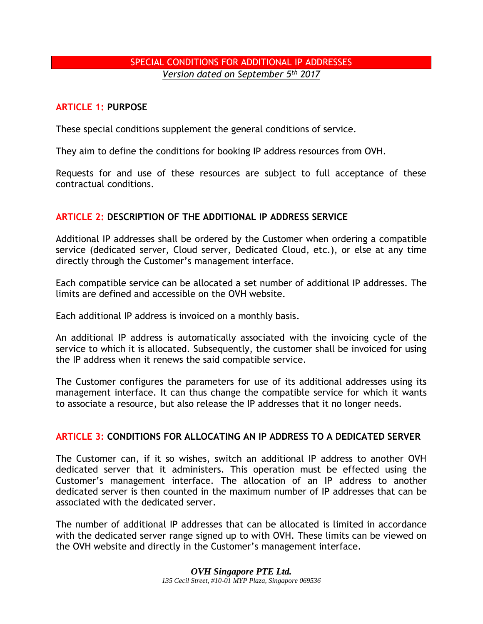# SPECIAL CONDITIONS FOR ADDITIONAL IP ADDRESSES *Version dated on September 5th 2017*

## **ARTICLE 1: PURPOSE**

These special conditions supplement the general conditions of service.

They aim to define the conditions for booking IP address resources from OVH.

Requests for and use of these resources are subject to full acceptance of these contractual conditions.

## **ARTICLE 2: DESCRIPTION OF THE ADDITIONAL IP ADDRESS SERVICE**

Additional IP addresses shall be ordered by the Customer when ordering a compatible service (dedicated server, Cloud server, Dedicated Cloud, etc.), or else at any time directly through the Customer's management interface.

Each compatible service can be allocated a set number of additional IP addresses. The limits are defined and accessible on the OVH website.

Each additional IP address is invoiced on a monthly basis.

An additional IP address is automatically associated with the invoicing cycle of the service to which it is allocated. Subsequently, the customer shall be invoiced for using the IP address when it renews the said compatible service.

The Customer configures the parameters for use of its additional addresses using its management interface. It can thus change the compatible service for which it wants to associate a resource, but also release the IP addresses that it no longer needs.

#### **ARTICLE 3: CONDITIONS FOR ALLOCATING AN IP ADDRESS TO A DEDICATED SERVER**

The Customer can, if it so wishes, switch an additional IP address to another OVH dedicated server that it administers. This operation must be effected using the Customer's management interface. The allocation of an IP address to another dedicated server is then counted in the maximum number of IP addresses that can be associated with the dedicated server.

The number of additional IP addresses that can be allocated is limited in accordance with the dedicated server range signed up to with OVH. These limits can be viewed on the OVH website and directly in the Customer's management interface.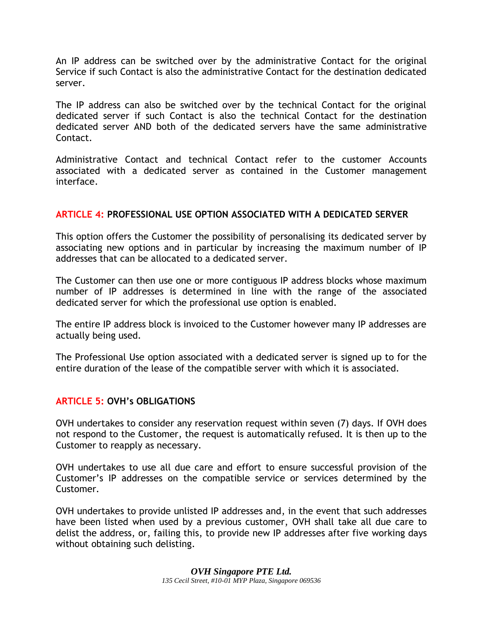An IP address can be switched over by the administrative Contact for the original Service if such Contact is also the administrative Contact for the destination dedicated server.

The IP address can also be switched over by the technical Contact for the original dedicated server if such Contact is also the technical Contact for the destination dedicated server AND both of the dedicated servers have the same administrative Contact.

Administrative Contact and technical Contact refer to the customer Accounts associated with a dedicated server as contained in the Customer management interface.

## **ARTICLE 4: PROFESSIONAL USE OPTION ASSOCIATED WITH A DEDICATED SERVER**

This option offers the Customer the possibility of personalising its dedicated server by associating new options and in particular by increasing the maximum number of IP addresses that can be allocated to a dedicated server.

The Customer can then use one or more contiguous IP address blocks whose maximum number of IP addresses is determined in line with the range of the associated dedicated server for which the professional use option is enabled.

The entire IP address block is invoiced to the Customer however many IP addresses are actually being used.

The Professional Use option associated with a dedicated server is signed up to for the entire duration of the lease of the compatible server with which it is associated.

# **ARTICLE 5: OVH's OBLIGATIONS**

OVH undertakes to consider any reservation request within seven (7) days. If OVH does not respond to the Customer, the request is automatically refused. It is then up to the Customer to reapply as necessary.

OVH undertakes to use all due care and effort to ensure successful provision of the Customer's IP addresses on the compatible service or services determined by the Customer.

OVH undertakes to provide unlisted IP addresses and, in the event that such addresses have been listed when used by a previous customer, OVH shall take all due care to delist the address, or, failing this, to provide new IP addresses after five working days without obtaining such delisting.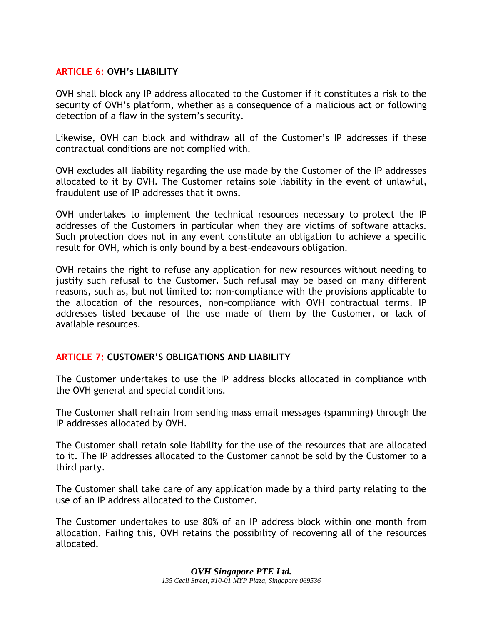### **ARTICLE 6: OVH's LIABILITY**

OVH shall block any IP address allocated to the Customer if it constitutes a risk to the security of OVH's platform, whether as a consequence of a malicious act or following detection of a flaw in the system's security.

Likewise, OVH can block and withdraw all of the Customer's IP addresses if these contractual conditions are not complied with.

OVH excludes all liability regarding the use made by the Customer of the IP addresses allocated to it by OVH. The Customer retains sole liability in the event of unlawful, fraudulent use of IP addresses that it owns.

OVH undertakes to implement the technical resources necessary to protect the IP addresses of the Customers in particular when they are victims of software attacks. Such protection does not in any event constitute an obligation to achieve a specific result for OVH, which is only bound by a best-endeavours obligation.

OVH retains the right to refuse any application for new resources without needing to justify such refusal to the Customer. Such refusal may be based on many different reasons, such as, but not limited to: non-compliance with the provisions applicable to the allocation of the resources, non-compliance with OVH contractual terms, IP addresses listed because of the use made of them by the Customer, or lack of available resources.

#### **ARTICLE 7: CUSTOMER'S OBLIGATIONS AND LIABILITY**

The Customer undertakes to use the IP address blocks allocated in compliance with the OVH general and special conditions.

The Customer shall refrain from sending mass email messages (spamming) through the IP addresses allocated by OVH.

The Customer shall retain sole liability for the use of the resources that are allocated to it. The IP addresses allocated to the Customer cannot be sold by the Customer to a third party.

The Customer shall take care of any application made by a third party relating to the use of an IP address allocated to the Customer.

The Customer undertakes to use 80% of an IP address block within one month from allocation. Failing this, OVH retains the possibility of recovering all of the resources allocated.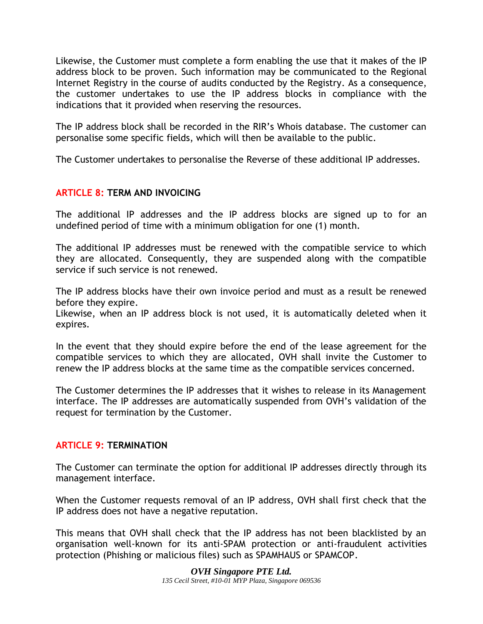Likewise, the Customer must complete a form enabling the use that it makes of the IP address block to be proven. Such information may be communicated to the Regional Internet Registry in the course of audits conducted by the Registry. As a consequence, the customer undertakes to use the IP address blocks in compliance with the indications that it provided when reserving the resources.

The IP address block shall be recorded in the RIR's Whois database. The customer can personalise some specific fields, which will then be available to the public.

The Customer undertakes to personalise the Reverse of these additional IP addresses.

# **ARTICLE 8: TERM AND INVOICING**

The additional IP addresses and the IP address blocks are signed up to for an undefined period of time with a minimum obligation for one (1) month.

The additional IP addresses must be renewed with the compatible service to which they are allocated. Consequently, they are suspended along with the compatible service if such service is not renewed.

The IP address blocks have their own invoice period and must as a result be renewed before they expire.

Likewise, when an IP address block is not used, it is automatically deleted when it expires.

In the event that they should expire before the end of the lease agreement for the compatible services to which they are allocated, OVH shall invite the Customer to renew the IP address blocks at the same time as the compatible services concerned.

The Customer determines the IP addresses that it wishes to release in its Management interface. The IP addresses are automatically suspended from OVH's validation of the request for termination by the Customer.

#### **ARTICLE 9: TERMINATION**

The Customer can terminate the option for additional IP addresses directly through its management interface.

When the Customer requests removal of an IP address, OVH shall first check that the IP address does not have a negative reputation.

This means that OVH shall check that the IP address has not been blacklisted by an organisation well-known for its anti-SPAM protection or anti-fraudulent activities protection (Phishing or malicious files) such as SPAMHAUS or SPAMCOP.